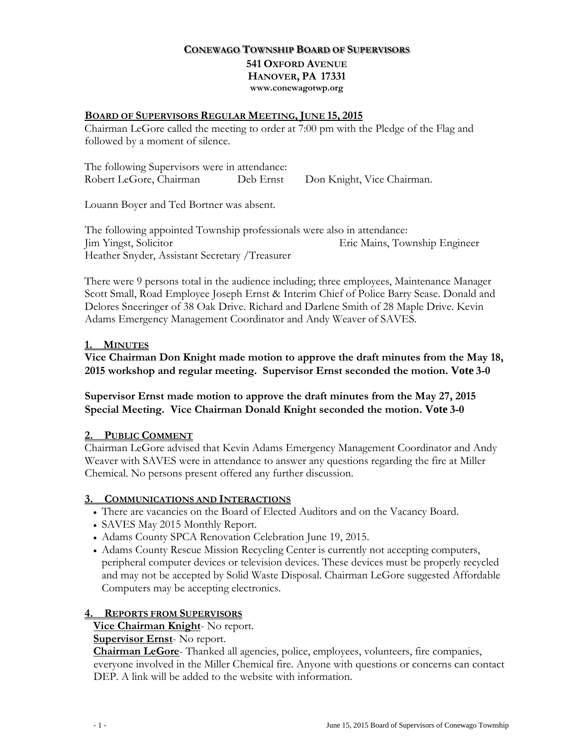## **CONEWAGO TOWNSHIP BOARD OF SUPERVISORS 541 OXFORD AVENUE HANOVER, PA 17331 www.conewagotwp.org**

#### **BOARD OF SUPERVISORS REGULAR MEETING, JUNE 15, 2015**

Chairman LeGore called the meeting to order at 7:00 pm with the Pledge of the Flag and followed by a moment of silence.

The following Supervisors were in attendance: Robert LeGore, Chairman Deb Ernst Don Knight, Vice Chairman.

Louann Boyer and Ted Bortner was absent.

The following appointed Township professionals were also in attendance: Jim Yingst, Solicitor Eric Mains, Township Engineer Heather Snyder, Assistant Secretary /Treasurer

There were 9 persons total in the audience including; three employees, Maintenance Manager Scott Small, Road Employee Joseph Ernst & Interim Chief of Police Barry Sease. Donald and Delores Sneeringer of 38 Oak Drive. Richard and Darlene Smith of 28 Maple Drive. Kevin Adams Emergency Management Coordinator and Andy Weaver of SAVES.

### **1. MINUTES**

## **Vice Chairman Don Knight made motion to approve the draft minutes from the May 18, 2015 workshop and regular meeting. Supervisor Ernst seconded the motion. Vote 3-0**

### **Supervisor Ernst made motion to approve the draft minutes from the May 27, 2015 Special Meeting. Vice Chairman Donald Knight seconded the motion. Vote 3-0**

### **2. PUBLIC COMMENT**

Chairman LeGore advised that Kevin Adams Emergency Management Coordinator and Andy Weaver with SAVES were in attendance to answer any questions regarding the fire at Miller Chemical. No persons present offered any further discussion.

### **3. COMMUNICATIONS AND INTERACTIONS**

- There are vacancies on the Board of Elected Auditors and on the Vacancy Board.
- SAVES May 2015 Monthly Report.
- Adams County SPCA Renovation Celebration June 19, 2015.
- Adams County Rescue Mission Recycling Center is currently not accepting computers, peripheral computer devices or television devices. These devices must be properly recycled and may not be accepted by Solid Waste Disposal. Chairman LeGore suggested Affordable Computers may be accepting electronics.

### **4. REPORTS FROM SUPERVISORS**

### **Vice Chairman Knight**- No report.

### **Supervisor Ernst**- No report.

**Chairman LeGore**- Thanked all agencies, police, employees, volunteers, fire companies, everyone involved in the Miller Chemical fire. Anyone with questions or concerns can contact DEP. A link will be added to the website with information.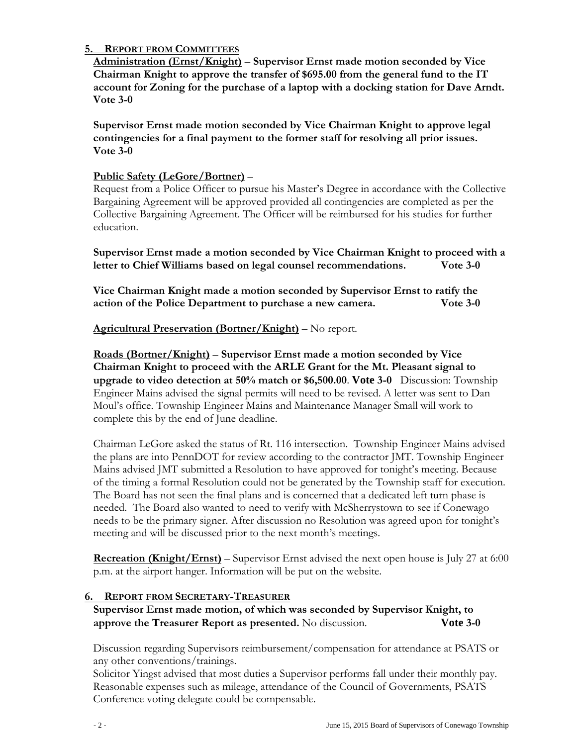## **5. REPORT FROM COMMITTEES**

**Administration (Ernst/Knight)** – **Supervisor Ernst made motion seconded by Vice Chairman Knight to approve the transfer of \$695.00 from the general fund to the IT account for Zoning for the purchase of a laptop with a docking station for Dave Arndt. Vote 3-0**

**Supervisor Ernst made motion seconded by Vice Chairman Knight to approve legal contingencies for a final payment to the former staff for resolving all prior issues. Vote 3-0**

## **Public Safety (LeGore/Bortner)** –

Request from a Police Officer to pursue his Master's Degree in accordance with the Collective Bargaining Agreement will be approved provided all contingencies are completed as per the Collective Bargaining Agreement. The Officer will be reimbursed for his studies for further education.

**Supervisor Ernst made a motion seconded by Vice Chairman Knight to proceed with a letter to Chief Williams based on legal counsel recommendations. Vote 3-0**

**Vice Chairman Knight made a motion seconded by Supervisor Ernst to ratify the action of the Police Department to purchase a new camera. Vote 3-0**

**Agricultural Preservation (Bortner/Knight)** – No report.

**Roads (Bortner/Knight)** – **Supervisor Ernst made a motion seconded by Vice Chairman Knight to proceed with the ARLE Grant for the Mt. Pleasant signal to upgrade to video detection at 50% match or \$6,500.00**. **Vote 3-0** Discussion: Township Engineer Mains advised the signal permits will need to be revised. A letter was sent to Dan Moul's office. Township Engineer Mains and Maintenance Manager Small will work to complete this by the end of June deadline.

Chairman LeGore asked the status of Rt. 116 intersection. Township Engineer Mains advised the plans are into PennDOT for review according to the contractor JMT. Township Engineer Mains advised JMT submitted a Resolution to have approved for tonight's meeting. Because of the timing a formal Resolution could not be generated by the Township staff for execution. The Board has not seen the final plans and is concerned that a dedicated left turn phase is needed. The Board also wanted to need to verify with McSherrystown to see if Conewago needs to be the primary signer. After discussion no Resolution was agreed upon for tonight's meeting and will be discussed prior to the next month's meetings.

**Recreation (Knight/Ernst)** – Supervisor Ernst advised the next open house is July 27 at 6:00 p.m. at the airport hanger. Information will be put on the website.

### **6. REPORT FROM SECRETARY-TREASURER**

**Supervisor Ernst made motion, of which was seconded by Supervisor Knight, to approve the Treasurer Report as presented.** No discussion. **Vote 3-0**

Discussion regarding Supervisors reimbursement/compensation for attendance at PSATS or any other conventions/trainings.

Solicitor Yingst advised that most duties a Supervisor performs fall under their monthly pay. Reasonable expenses such as mileage, attendance of the Council of Governments, PSATS Conference voting delegate could be compensable.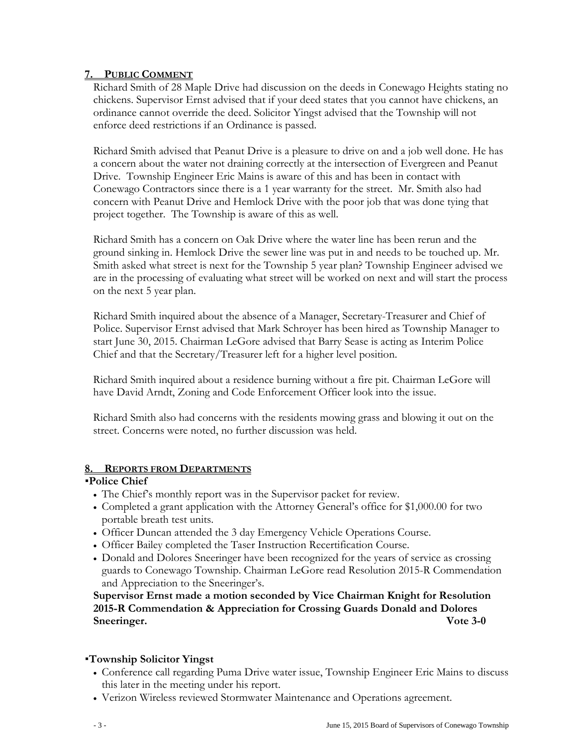### **7. PUBLIC COMMENT**

Richard Smith of 28 Maple Drive had discussion on the deeds in Conewago Heights stating no chickens. Supervisor Ernst advised that if your deed states that you cannot have chickens, an ordinance cannot override the deed. Solicitor Yingst advised that the Township will not enforce deed restrictions if an Ordinance is passed.

Richard Smith advised that Peanut Drive is a pleasure to drive on and a job well done. He has a concern about the water not draining correctly at the intersection of Evergreen and Peanut Drive. Township Engineer Eric Mains is aware of this and has been in contact with Conewago Contractors since there is a 1 year warranty for the street. Mr. Smith also had concern with Peanut Drive and Hemlock Drive with the poor job that was done tying that project together. The Township is aware of this as well.

Richard Smith has a concern on Oak Drive where the water line has been rerun and the ground sinking in. Hemlock Drive the sewer line was put in and needs to be touched up. Mr. Smith asked what street is next for the Township 5 year plan? Township Engineer advised we are in the processing of evaluating what street will be worked on next and will start the process on the next 5 year plan.

Richard Smith inquired about the absence of a Manager, Secretary-Treasurer and Chief of Police. Supervisor Ernst advised that Mark Schroyer has been hired as Township Manager to start June 30, 2015. Chairman LeGore advised that Barry Sease is acting as Interim Police Chief and that the Secretary/Treasurer left for a higher level position.

Richard Smith inquired about a residence burning without a fire pit. Chairman LeGore will have David Arndt, Zoning and Code Enforcement Officer look into the issue.

Richard Smith also had concerns with the residents mowing grass and blowing it out on the street. Concerns were noted, no further discussion was held.

### **8. REPORTS FROM DEPARTMENTS**

# **Police Chief**

- The Chief's monthly report was in the Supervisor packet for review.
- Completed a grant application with the Attorney General's office for \$1,000.00 for two portable breath test units.
- Officer Duncan attended the 3 day Emergency Vehicle Operations Course.
- Officer Bailey completed the Taser Instruction Recertification Course.
- Donald and Dolores Sneeringer have been recognized for the years of service as crossing guards to Conewago Township. Chairman LeGore read Resolution 2015-R Commendation and Appreciation to the Sneeringer's.

**Supervisor Ernst made a motion seconded by Vice Chairman Knight for Resolution 2015-R Commendation & Appreciation for Crossing Guards Donald and Dolores Sneeringer.** Vote 3-0

### **Township Solicitor Yingst**

- Conference call regarding Puma Drive water issue, Township Engineer Eric Mains to discuss this later in the meeting under his report.
- Verizon Wireless reviewed Stormwater Maintenance and Operations agreement.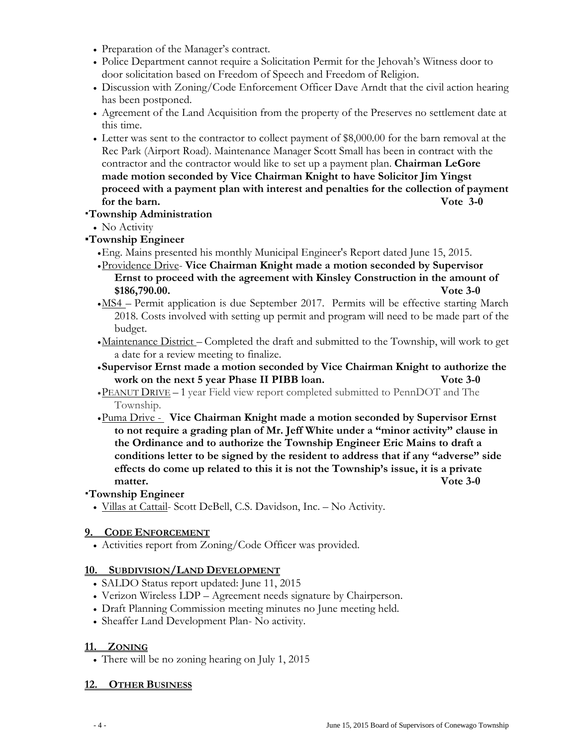- Preparation of the Manager's contract.
- Police Department cannot require a Solicitation Permit for the Jehovah's Witness door to door solicitation based on Freedom of Speech and Freedom of Religion.
- Discussion with Zoning/Code Enforcement Officer Dave Arndt that the civil action hearing has been postponed.
- Agreement of the Land Acquisition from the property of the Preserves no settlement date at this time.
- Letter was sent to the contractor to collect payment of \$8,000.00 for the barn removal at the Rec Park (Airport Road). Maintenance Manager Scott Small has been in contract with the contractor and the contractor would like to set up a payment plan. **Chairman LeGore made motion seconded by Vice Chairman Knight to have Solicitor Jim Yingst proceed with a payment plan with interest and penalties for the collection of payment for the barn. Vote 3-0**

### **Township Administration**

• No Activity

## **Township Engineer**

- •Eng. Mains presented his monthly Municipal Engineer's Report dated June 15, 2015.
- •Providence Drive- **Vice Chairman Knight made a motion seconded by Supervisor Ernst to proceed with the agreement with Kinsley Construction in the amount of \$186,790.00. Vote 3-0**
- •MS4 Permit application is due September 2017. Permits will be effective starting March 2018. Costs involved with setting up permit and program will need to be made part of the budget.
- •Maintenance District Completed the draft and submitted to the Township, will work to get a date for a review meeting to finalize.
- •**Supervisor Ernst made a motion seconded by Vice Chairman Knight to authorize the work on the next 5 year Phase II PIBB loan. Vote 3-0**
- •PEANUT DRIVE 1 year Field view report completed submitted to PennDOT and The Township.
- •Puma Drive **Vice Chairman Knight made a motion seconded by Supervisor Ernst to not require a grading plan of Mr. Jeff White under a "minor activity" clause in the Ordinance and to authorize the Township Engineer Eric Mains to draft a conditions letter to be signed by the resident to address that if any "adverse" side effects do come up related to this it is not the Township's issue, it is a private matter. Vote 3-0**

### **Township Engineer**

• Villas at Cattail- Scott DeBell, C.S. Davidson, Inc. *–* No Activity.

### **9. CODE ENFORCEMENT**

• Activities report from Zoning/Code Officer was provided.

### **10. SUBDIVISION/LAND DEVELOPMENT**

- SALDO Status report updated: June 11, 2015
- Verizon Wireless LDP Agreement needs signature by Chairperson.
- Draft Planning Commission meeting minutes no June meeting held.
- Sheaffer Land Development Plan- No activity.

#### **11. ZONING**

• There will be no zoning hearing on July 1, 2015

#### **12. OTHER BUSINESS**